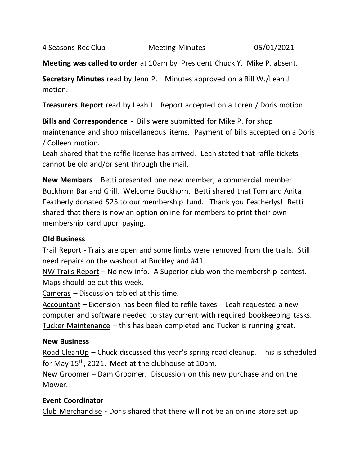4 Seasons Rec Club Meeting Minutes 05/01/2021

**Meeting was called to order** at 10am by President Chuck Y. Mike P. absent.

**Secretary Minutes** read by Jenn P. Minutes approved on a Bill W./Leah J. motion.

**Treasurers Report** read by Leah J. Report accepted on a Loren / Doris motion.

**Bills and Correspondence -** Bills were submitted for Mike P. for shop maintenance and shop miscellaneous items. Payment of bills accepted on a Doris / Colleen motion.

Leah shared that the raffle license has arrived. Leah stated that raffle tickets cannot be old and/or sent through the mail.

**New Members** – Betti presented one new member, a commercial member – Buckhorn Bar and Grill. Welcome Buckhorn. Betti shared that Tom and Anita Featherly donated \$25 to our membership fund. Thank you Featherlys! Betti shared that there is now an option online for members to print their own membership card upon paying.

## **Old Business**

Trail Report - Trails are open and some limbs were removed from the trails. Still need repairs on the washout at Buckley and #41.

NW Trails Report – No new info. A Superior club won the membership contest. Maps should be out this week.

Cameras – Discussion tabled at this time.

Accountant – Extension has been filed to refile taxes. Leah requested a new computer and software needed to stay current with required bookkeeping tasks. Tucker Maintenance – this has been completed and Tucker is running great.

## **New Business**

Road CleanUp – Chuck discussed this year's spring road cleanup. This is scheduled for May 15<sup>th</sup>, 2021. Meet at the clubhouse at 10am.

New Groomer – Dam Groomer. Discussion on this new purchase and on the Mower.

## **Event Coordinator**

Club Merchandise **-** Doris shared that there will not be an online store set up.